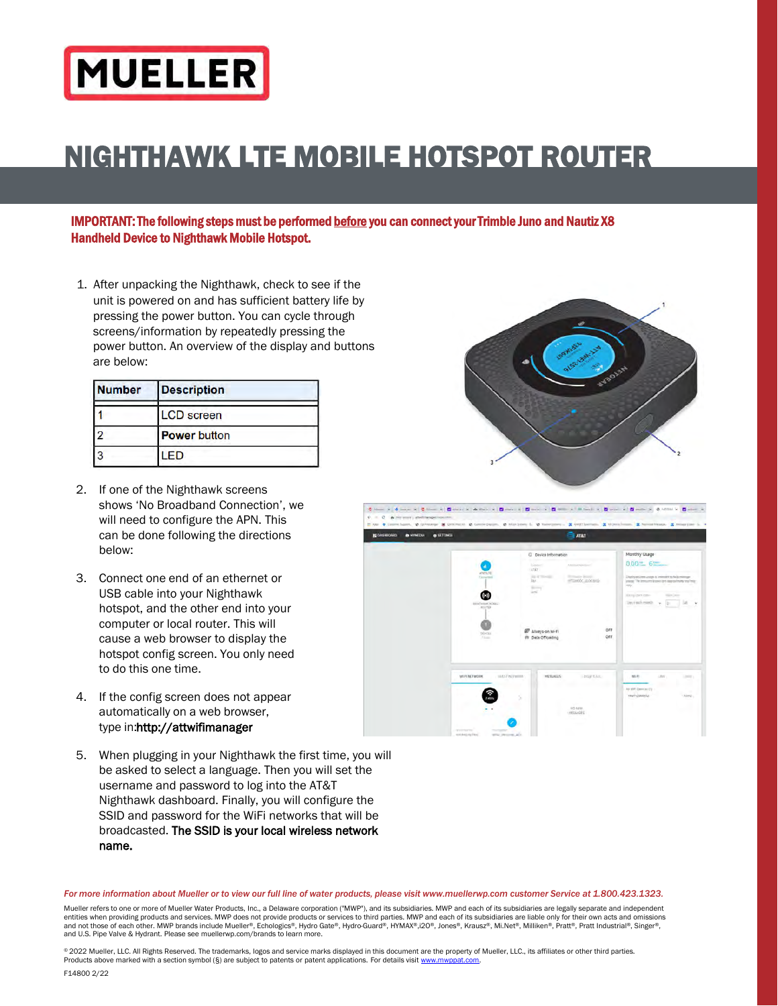# **MUELLER**

## NIGHTHAWK LTE MOBILE HOTSPOT ROUTER

IMPORTANT: The following steps must be performed before you can connect your Trimble Juno and Nautiz X8 Handheld Device to Nighthawk Mobile Hotspot.

1. After unpacking the Nighthawk, check to see if the unit is powered on and has sufficient battery life by pressing the power button. You can cycle through screens/information by repeatedly pressing the power button. An overview of the display and buttons are below:

| <b>Number</b> | <b>Description</b>  |  |
|---------------|---------------------|--|
|               | <b>LCD</b> screen   |  |
|               | <b>Power button</b> |  |
|               | ED                  |  |

- 2. If one of the Nighthawk screens shows 'No Broadband Connection', we will need to configure the APN. This can be done following the directions below:
- 3. Connect one end of an ethernet or USB cable into your Nighthawk hotspot, and the other end into your computer or local router. This will cause a web browser to display the hotspot config screen. You only need to do this one time.
- 4. If the config screen does not appear automatically on a web browser, type in:http://attwifimanager
- 5. When [plugging in your Nightha](http://attwifimanager/)wk the first time, you will be asked to select a language. Then you will set the username and password to log into the AT&T [Nighthawk dashboard. F](http://attwifimanager/)inally, you will configure the SSID and password for the WiFi networks that will be broadcasted. The SSID is your local wireless network name.





#### For more information about Mueller or to view our full line of water products, please visit [www.muellerwp.com](http://www.muellerwp.com/) customer Service at 1.800.423.1323.

Mueller refers to one or more of Mueller Water Products, Inc., a Delaware corporation ("MWP"), and its subsidiaries. MWP and each of its subsidiaries are legally separate and independent entities when providing products and services. MWP does not provide products or services to third parties. MWP and each of its subsidiaries are liable only for their own acts and omissions and not those of each other. MWP brands include Mueller®, Echologics®, Hydro-Guard®, Hydro-Guard®, HYMAX®,i2O®, Jones®, Krausz®, Mi.Net®, Milliken®, Pratt®, Pratt®, Pratt®, Finatt®, Singer®, Singer®, Pratt®, Pratt®, Pratt® and U.S. Pipe Valve & Hydrant. Please see muellerwp.com/brands to learn more.

© 2022 Mueller, LLC. All Rights Reserved. The trademarks, logos and service marks displayed in this document are the property of Mueller, LLC., its affiliates or other third parties. Products above marked with a section symbol (§) are subject to patents or patent applications. For details visi[t www.mwppat.com.](http://www.mwppat.com/)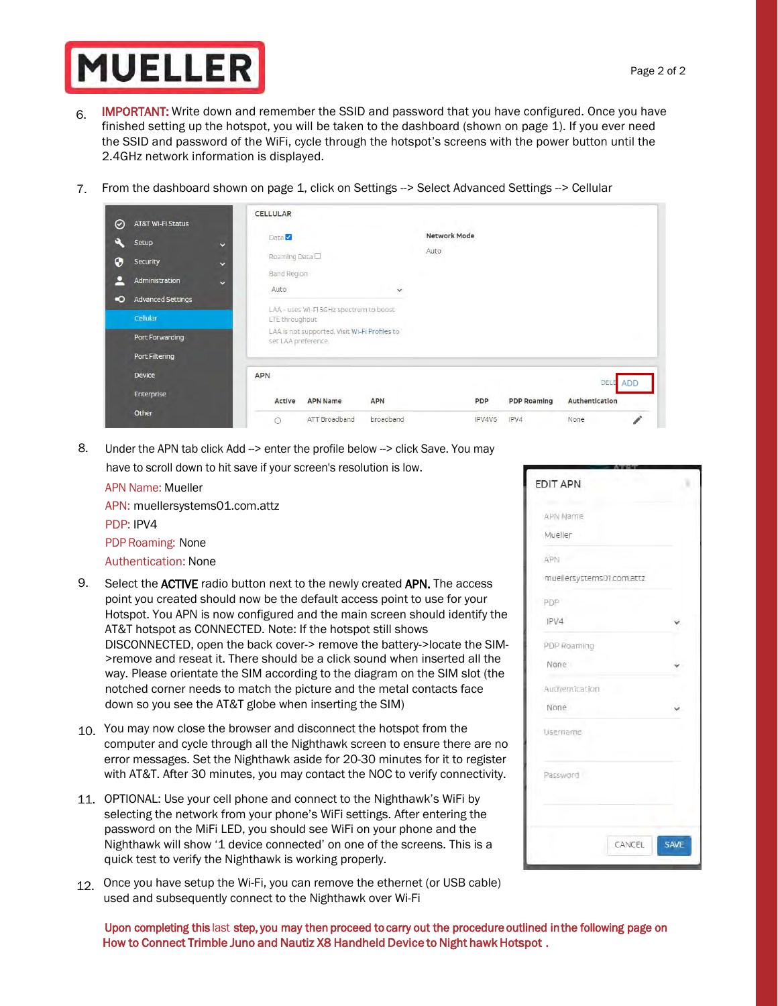# **MUELLER**

- 6. **IMPORTANT:** Write down and remember the SSID and password that you have configured. Once you have finished setting up the hotspot, you will be taken to the dashboard (shown on page 1). If you ever need the SSID and password of the WiFi, cycle through the hotspot's screens with the power button until the 2.4GHz network information is displayed.
- 7. From the dashboard shown on page 1, click on Settings --> Select Advanced Settings --> Cellular

| $\odot$<br><b>AT&amp;T Wi-Fi Status</b>                                                                                                                                                         | <b>CELLULAR</b>                                                                                                                                                                                                       |                                                                              |
|-------------------------------------------------------------------------------------------------------------------------------------------------------------------------------------------------|-----------------------------------------------------------------------------------------------------------------------------------------------------------------------------------------------------------------------|------------------------------------------------------------------------------|
| o<br>Setup<br>$\ddot{\phantom{0}}$<br>0<br><b>Security</b><br>$\ddot{\mathbf{v}}$<br>р<br>Administration<br>$\ddotmark$<br><b>Advanced Settings</b><br>$\bullet$<br>Cellular<br>Port Forwarding | Data <sup>V</sup><br>Roaming Data□<br><b>Band Region</b><br>Auto<br>$\checkmark$<br>LAA - uses Wi-Fi SGHz spectrum to boost<br>LTE throughput<br>LAA is not supported. Visit Wi-Fi Profiles to<br>set LAA preference. | <b>Network Mode</b><br>Auto                                                  |
| Port Filtering<br><b>Device</b>                                                                                                                                                                 | <b>APN</b>                                                                                                                                                                                                            | DELE<br><b>ADD</b>                                                           |
| Enterprise<br>Other                                                                                                                                                                             | <b>APN Name</b><br><b>APN</b><br>Active<br>ATT Broadband<br>broadband                                                                                                                                                 | Authentication<br><b>PDP</b><br><b>PDP Roaming</b><br>IPV4<br>IPV4V6<br>None |

8. Under the APN tab click Add --> enter the profile below --> click Save. You may have to scroll down to hit save if your screen's resolution is low.

| <b>APN Name: Mueller</b>       |
|--------------------------------|
| APN: muellersystems01.com.attz |
| PDP: IPV4                      |
| PDP Roaming: None              |
| <b>Authentication: None</b>    |

- 9. Select the ACTIVE radio button next to the newly created APN. The access point you created should now be the default access point to use for your Hotspot. You APN is now configured and the main screen should identify the AT&T hotspot as CONNECTED. Note: If the hotspot still shows DISCONNECTED, open the back cover-> remove the battery->locate the SIM- >remove and reseat it. There should be a click sound when inserted all the way. Please orientate the SIM according to the diagram on the SIM slot (the notched corner needs to match the picture and the metal contacts face down so you see the AT&T globe when inserting the SIM)
- 10. You may now close the browser and disconnect the hotspot from the computer and cycle through all the Nighthawk screen to ensure there are no error messages. Set the Nighthawk aside for 20-30 minutes for it to register with AT&T. After 30 minutes, you may contact the NOC to verify connectivity.
- 11. OPTIONAL: Use your cell phone and connect to the Nighthawk's WiFi by selecting the network from your phone's WiFi settings. After entering the password on the MiFi LED, you should see WiFi on your phone and the Nighthawk will show '1 device connected' on one of the screens. This is a quick test to verify the Nighthawk is working properly.
- 12. Once you have setup the Wi-Fi, you can remove the ethernet (or USB cable) used and subsequently connect to the Nighthawk over Wi-Fi

| <b>APN Name</b>           |             |
|---------------------------|-------------|
| Mueller                   |             |
| <b>APN</b>                |             |
| muellersystems01.com.attz |             |
| <b>PDP</b>                |             |
| IPV4                      |             |
| PDP Roaming               |             |
| None                      |             |
| Authentication            |             |
| None                      |             |
| Username                  |             |
| Password                  |             |
|                           |             |
| CANCEL                    | <b>SAVE</b> |

Upon completing this last step, you may then proceed to carry out the procedure outlined in the following page on How to Connect Trimble Juno and Nautiz X8 Handheld Device to Night hawk Hotspot .